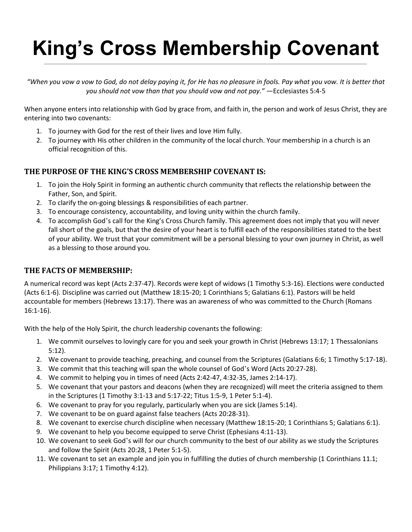## **King's Cross Membership Covenant**

"When you vow a vow to God, do not delay paying it, for He has no pleasure in fools. Pay what you vow. It is better that *you should not vow than that you should vow and not pay." —*Ecclesiastes 5:4-5

When anyone enters into relationship with God by grace from, and faith in, the person and work of Jesus Christ, they are entering into two covenants:

- 1. To journey with God for the rest of their lives and love Him fully.
- 2. To journey with His other children in the community of the local church. Your membership in a church is an official recognition of this.

## **THE PURPOSE OF THE KING'S CROSS MEMBERSHIP COVENANT IS:**

- 1. To join the Holy Spirit in forming an authentic church community that reflects the relationship between the Father, Son, and Spirit.
- 2. To clarify the on-going blessings & responsibilities of each partner.
- 3. To encourage consistency, accountability, and loving unity within the church family.
- 4. To accomplish God's call for the King's Cross Church family. This agreement does not imply that you will never fall short of the goals, but that the desire of your heart is to fulfill each of the responsibilities stated to the best of your ability. We trust that your commitment will be a personal blessing to your own journey in Christ, as well as a blessing to those around you.

## **THE FACTS OF MEMBERSHIP:**

A numerical record was kept (Acts 2:37-47). Records were kept of widows (1 Timothy 5:3-16). Elections were conducted (Acts 6:1-6). Discipline was carried out (Matthew 18:15-20; 1 Corinthians 5; Galatians 6:1). Pastors will be held accountable for members (Hebrews 13:17). There was an awareness of who was committed to the Church (Romans 16:1-16).

With the help of the Holy Spirit, the church leadership covenants the following:

- 1. We commit ourselves to lovingly care for you and seek your growth in Christ (Hebrews 13:17; 1 Thessalonians 5:12).
- 2. We covenant to provide teaching, preaching, and counsel from the Scriptures (Galatians 6:6; 1 Timothy 5:17-18).
- 3. We commit that this teaching will span the whole counsel of God's Word (Acts 20:27-28).
- 4. We commit to helping you in times of need (Acts 2:42-47, 4:32-35, James 2:14-17).
- 5. We covenant that your pastors and deacons (when they are recognized) will meet the criteria assigned to them in the Scriptures (1 Timothy 3:1-13 and 5:17-22; Titus 1:5-9, 1 Peter 5:1-4).
- 6. We covenant to pray for you regularly, particularly when you are sick (James 5:14).
- 7. We covenant to be on guard against false teachers (Acts 20:28-31).
- 8. We covenant to exercise church discipline when necessary (Matthew 18:15-20; 1 Corinthians 5; Galatians 6:1).
- 9. We covenant to help you become equipped to serve Christ (Ephesians 4:11-13).
- 10. We covenant to seek God's will for our church community to the best of our ability as we study the Scriptures and follow the Spirit (Acts 20:28, 1 Peter 5:1-5).
- 11. We covenant to set an example and join you in fulfilling the duties of church membership (1 Corinthians 11.1; Philippians 3:17; 1 Timothy 4:12).